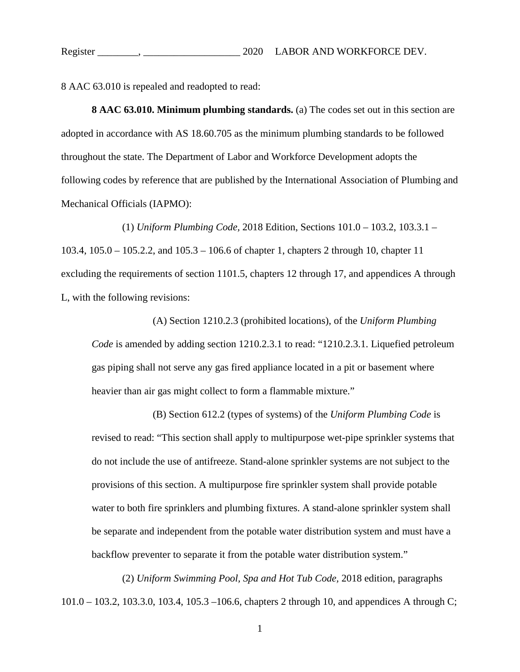8 AAC 63.010 is repealed and readopted to read:

**8 AAC 63.010. Minimum plumbing standards.** (a) The codes set out in this section are adopted in accordance with AS 18.60.705 as the minimum plumbing standards to be followed throughout the state. The Department of Labor and Workforce Development adopts the following codes by reference that are published by the International Association of Plumbing and Mechanical Officials (IAPMO):

(1) *Uniform Plumbing Code,* 2018 Edition, Sections 101.0 – 103.2, 103.3.1 – 103.4, 105.0 – 105.2.2, and 105.3 – 106.6 of chapter 1, chapters 2 through 10, chapter 11 excluding the requirements of section 1101.5, chapters 12 through 17, and appendices A through L, with the following revisions:

(A) Section 1210.2.3 (prohibited locations), of the *Uniform Plumbing Code* is amended by adding section 1210.2.3.1 to read: "1210.2.3.1. Liquefied petroleum gas piping shall not serve any gas fired appliance located in a pit or basement where heavier than air gas might collect to form a flammable mixture."

(B) Section 612.2 (types of systems) of the *Uniform Plumbing Code* is revised to read: "This section shall apply to multipurpose wet-pipe sprinkler systems that do not include the use of antifreeze. Stand-alone sprinkler systems are not subject to the provisions of this section. A multipurpose fire sprinkler system shall provide potable water to both fire sprinklers and plumbing fixtures. A stand-alone sprinkler system shall be separate and independent from the potable water distribution system and must have a backflow preventer to separate it from the potable water distribution system."

(2) *Uniform Swimming Pool, Spa and Hot Tub Code,* 2018 edition, paragraphs 101.0 – 103.2, 103.3.0, 103.4, 105.3 –106.6, chapters 2 through 10, and appendices A through C;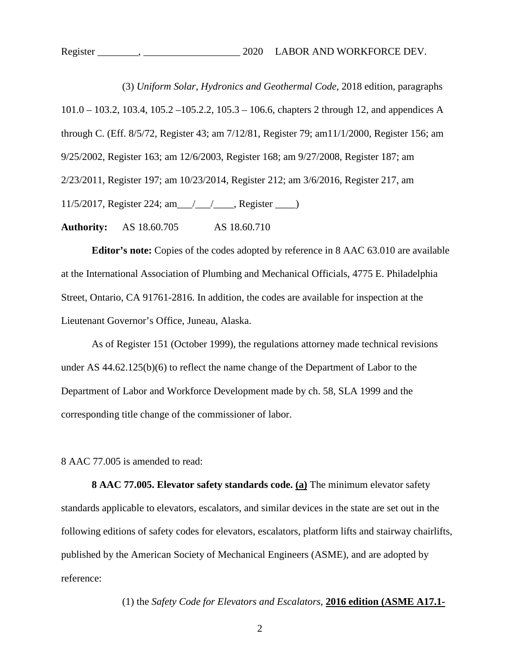(3) *Uniform Solar, Hydronics and Geothermal Code,* 2018 edition, paragraphs 101.0 – 103.2, 103.4, 105.2 –105.2.2, 105.3 – 106.6, chapters 2 through 12, and appendices A through C. (Eff. 8/5/72, Register 43; am 7/12/81, Register 79; am11/1/2000, Register 156; am 9/25/2002, Register 163; am 12/6/2003, Register 168; am 9/27/2008, Register 187; am 2/23/2011, Register 197; am 10/23/2014, Register 212; am 3/6/2016, Register 217, am 11/5/2017, Register 224; am\_\_\_/\_\_\_/\_\_\_\_, Register \_\_\_\_)

**Authority:** AS 18.60.705 AS 18.60.710

**Editor's note:** Copies of the codes adopted by reference in 8 AAC 63.010 are available at the International Association of Plumbing and Mechanical Officials, 4775 E. Philadelphia Street, Ontario, CA 91761-2816. In addition, the codes are available for inspection at the Lieutenant Governor's Office, Juneau, Alaska.

As of Register 151 (October 1999), the regulations attorney made technical revisions under AS 44.62.125(b)(6) to reflect the name change of the Department of Labor to the Department of Labor and Workforce Development made by ch. 58, SLA 1999 and the corresponding title change of the commissioner of labor.

8 AAC 77.005 is amended to read:

**8 AAC 77.005. Elevator safety standards code. (a)** The minimum elevator safety standards applicable to elevators, escalators, and similar devices in the state are set out in the following editions of safety codes for elevators, escalators, platform lifts and stairway chairlifts, published by the American Society of Mechanical Engineers (ASME), and are adopted by reference:

(1) the *Safety Code for Elevators and Escalators*, **2016 edition (ASME A17.1-**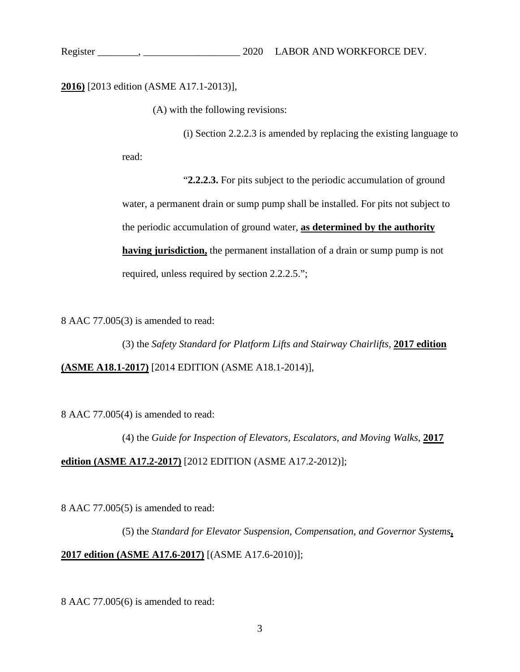# **2016)** [2013 edition (ASME A17.1-2013)],

(A) with the following revisions:

(i) Section 2.2.2.3 is amended by replacing the existing language to

read:

"**2.2.2.3.** For pits subject to the periodic accumulation of ground water, a permanent drain or sump pump shall be installed. For pits not subject to the periodic accumulation of ground water, **as determined by the authority having jurisdiction,** the permanent installation of a drain or sump pump is not required, unless required by section 2.2.2.5.";

8 AAC 77.005(3) is amended to read:

(3) the *Safety Standard for Platform Lifts and Stairway Chairlifts*, **2017 edition (ASME A18.1-2017)** [2014 EDITION (ASME A18.1-2014)],

8 AAC 77.005(4) is amended to read:

(4) the *Guide for Inspection of Elevators, Escalators, and Moving Walks*, **2017 edition (ASME A17.2-2017)** [2012 EDITION (ASME A17.2-2012)];

8 AAC 77.005(5) is amended to read:

(5) the *Standard for Elevator Suspension, Compensation, and Governor Systems***, 2017 edition (ASME A17.6-2017)** [(ASME A17.6-2010)];

8 AAC 77.005(6) is amended to read: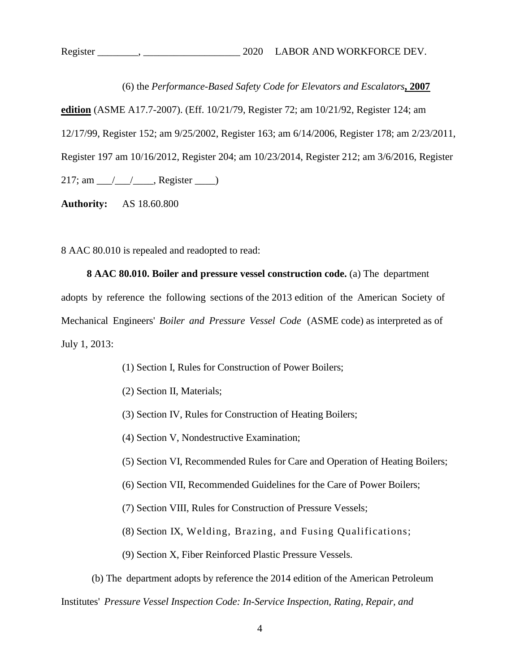(6) the *Performance-Based Safety Code for Elevators and Escalators***, 2007 edition** (ASME A17.7-2007). (Eff. 10/21/79, Register 72; am 10/21/92, Register 124; am 12/17/99, Register 152; am 9/25/2002, Register 163; am 6/14/2006, Register 178; am 2/23/2011, Register 197 am 10/16/2012, Register 204; am 10/23/2014, Register 212; am 3/6/2016, Register  $217$ ; am  $\angle$  /  $\angle$ , Register  $\angle$ 

**Authority:** AS 18.60.800

8 AAC 80.010 is repealed and readopted to read:

**8 AAC 80.010. Boiler and pressure vessel construction code.** (a) The department adopts by reference the following sections of the 2013 edition of the American Society of Mechanical Engineers' *Boiler and Pressure Vessel Code* (ASME code) as interpreted as of July 1, 2013:

- (1) Section I, Rules for Construction of Power Boilers;
- (2) Section II, Materials;
- (3) Section IV, Rules for Construction of Heating Boilers;
- (4) Section V, Nondestructive Examination;
- (5) Section VI, Recommended Rules for Care and Operation of Heating Boilers;
- (6) Section VII, Recommended Guidelines for the Care of Power Boilers;
- (7) Section VIII, Rules for Construction of Pressure Vessels;
- (8) Section IX, Welding, Brazing, and Fusing Qualifications;
- (9) Section X, Fiber Reinforced Plastic Pressure Vessels.

(b) The department adopts by reference the 2014 edition of the American Petroleum Institutes' *Pressure Vessel Inspection Code: In-Service Inspection, Rating, Repair, and*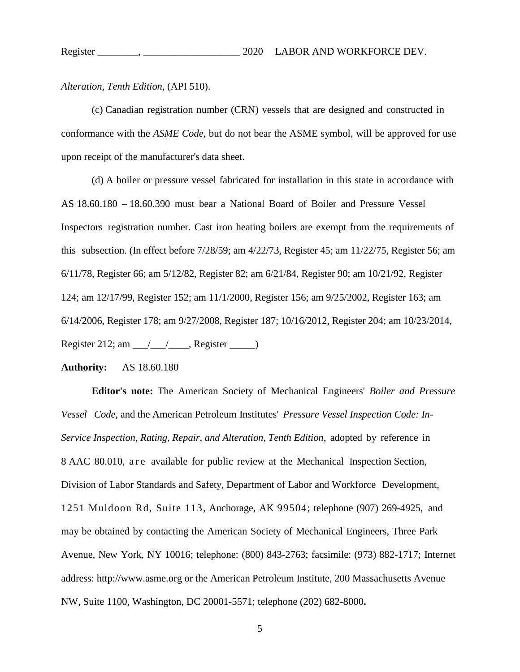*Alteration, Tenth Edition,* (API 510).

(c) Canadian registration number (CRN) vessels that are designed and constructed in conformance with the *ASME Code,* but do not bear the ASME symbol, will be approved for use upon receipt of the manufacturer's data sheet.

(d) A boiler or pressure vessel fabricated for installation in this state in accordance with AS 18.60.180 – 18.60.390 must bear a National Board of Boiler and Pressure Vessel Inspectors registration number. Cast iron heating boilers are exempt from the requirements of this subsection. (In effect before 7/28/59; am 4/22/73, Register 45; am 11/22/75, Register 56; am 6/11/78, Register 66; am 5/12/82, Register 82; am 6/21/84, Register 90; am 10/21/92, Register 124; am 12/17/99, Register 152; am 11/1/2000, Register 156; am 9/25/2002, Register 163; am 6/14/2006, Register 178; am 9/27/2008, Register 187; 10/16/2012, Register 204; am 10/23/2014, Register 212; am  $\angle$   $\angle$   $\angle$  Register  $\angle$ 

#### **Authority:** AS 18.60.180

**Editor's note:** The American Society of Mechanical Engineers' *Boiler and Pressure Vessel Code,* and the American Petroleum Institutes' *Pressure Vessel Inspection Code: In-Service Inspection, Rating, Repair, and Alteration, Tenth Edition,* adopted by reference in 8 AAC 80.010, are available for public review at the Mechanical Inspection Section, Division of Labor Standards and Safety, Department of Labor and Workforce Development, 1251 Muldoon Rd, Suite 113, Anchorage, AK 99504; telephone (907) 269-4925, and may be obtained by contacting the American Society of Mechanical Engineers, Three Park Avenue, New York, NY 10016; telephone: (800) 843-2763; facsimile: (973) 882-1717; Internet address: [http://www.asme.org or the American Petroleum Institute, 200 Massachusetts Avenue](ss:%20http://www.asme.org%20or%20the%20American%20Petroleum%20Institute,%20.)  [NW, Suite 1100, Washington, DC 20001-5571; telephone \(202\) 682-8000](ss:%20http://www.asme.org%20or%20the%20American%20Petroleum%20Institute,%20.)**.**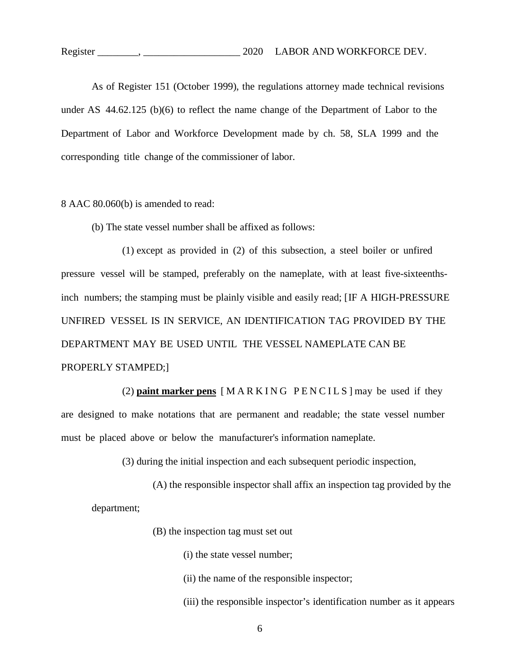As of Register 151 (October 1999), the regulations attorney made technical revisions under AS 44.62.125 (b)(6) to reflect the name change of the Department of Labor to the Department of Labor and Workforce Development made by ch. 58, SLA 1999 and the corresponding title change of the commissioner of labor.

#### 8 AAC 80.060(b) is amended to read:

(b) The state vessel number shall be affixed as follows:

(1) except as provided in (2) of this subsection, a steel boiler or unfired pressure vessel will be stamped, preferably on the nameplate, with at least five-sixteenthsinch numbers; the stamping must be plainly visible and easily read; [IF A HIGH-PRESSURE UNFIRED VESSEL IS IN SERVICE, AN IDENTIFICATION TAG PROVIDED BY THE DEPARTMENT MAY BE USED UNTIL THE VESSEL NAMEPLATE CAN BE PROPERLY STAMPED;]

(2) **paint marker pens** [MARKING PENCILS] may be used if they are designed to make notations that are permanent and readable; the state vessel number must be placed above or below the manufacturer's information nameplate.

(3) during the initial inspection and each subsequent periodic inspection,

(A) the responsible inspector shall affix an inspection tag provided by the department;

(B) the inspection tag must set out

- (i) the state vessel number;
- (ii) the name of the responsible inspector;
- (iii) the responsible inspector's identification number as it appears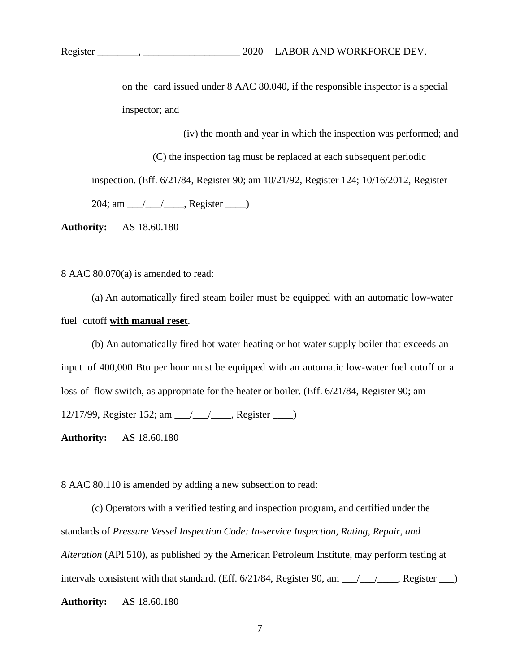on the card issued under 8 AAC 80.040, if the responsible inspector is a special inspector; and

(iv) the month and year in which the inspection was performed; and

(C) the inspection tag must be replaced at each subsequent periodic inspection. (Eff. 6/21/84, Register 90; am 10/21/92, Register 124; 10/16/2012, Register  $204$ ; am  $\angle$  /  $\angle$ , Register  $\angle$ 

**Authority:** AS 18.60.180

8 AAC 80.070(a) is amended to read:

(a) An automatically fired steam boiler must be equipped with an automatic low-water fuel cutoff **with manual reset**.

(b) An automatically fired hot water heating or hot water supply boiler that exceeds an input of 400,000 Btu per hour must be equipped with an automatic low-water fuel cutoff or a loss of flow switch, as appropriate for the heater or boiler. (Eff. 6/21/84, Register 90; am 12/17/99, Register 152; am \_\_\_/\_\_\_/\_\_\_\_, Register \_\_\_\_)

**Authority:** AS 18.60.180

8 AAC 80.110 is amended by adding a new subsection to read:

(c) Operators with a verified testing and inspection program, and certified under the standards of *Pressure Vessel Inspection Code: In-service Inspection, Rating, Repair, and Alteration* (API 510), as published by the American Petroleum Institute, may perform testing at intervals consistent with that standard. (Eff.  $6/21/84$ , Register 90, am  $\frac{\sqrt{21}}{21}$ , Register  $\frac{\sqrt{21}}{21}$ **Authority:** AS 18.60.180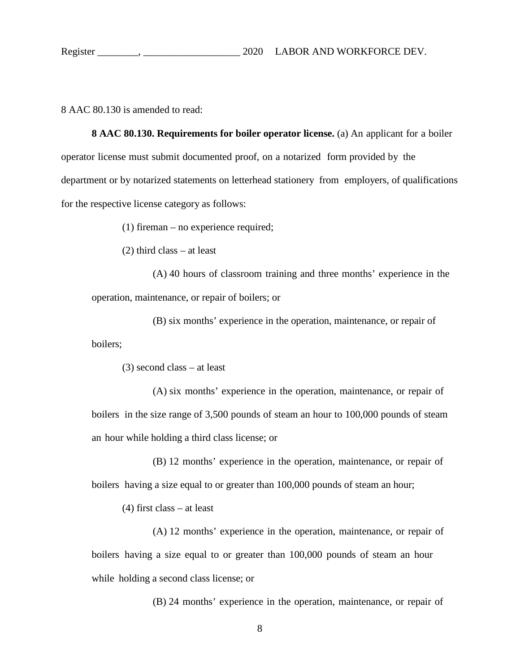8 AAC 80.130 is amended to read:

**8 AAC 80.130. Requirements for boiler operator license.** (a) An applicant for a boiler operator license must submit documented proof, on a notarized form provided by the department or by notarized statements on letterhead stationery from employers, of qualifications for the respective license category as follows:

(1) fireman – no experience required;

(2) third class – at least

(A) 40 hours of classroom training and three months' experience in the operation, maintenance, or repair of boilers; or

(B) six months' experience in the operation, maintenance, or repair of boilers;

(3) second class – at least

(A) six months' experience in the operation, maintenance, or repair of boilers in the size range of 3,500 pounds of steam an hour to 100,000 pounds of steam an hour while holding a third class license; or

(B) 12 months' experience in the operation, maintenance, or repair of boilers having a size equal to or greater than 100,000 pounds of steam an hour;

(4) first class – at least

(A) 12 months' experience in the operation, maintenance, or repair of boilers having a size equal to or greater than 100,000 pounds of steam an hour while holding a second class license; or

(B) 24 months' experience in the operation, maintenance, or repair of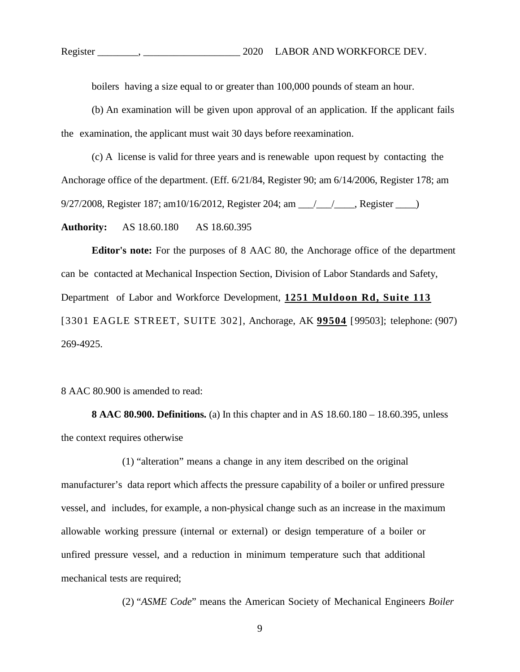boilers having a size equal to or greater than 100,000 pounds of steam an hour.

(b) An examination will be given upon approval of an application. If the applicant fails the examination, the applicant must wait 30 days before reexamination.

(c) A license is valid for three years and is renewable upon request by contacting the Anchorage office of the department. (Eff. 6/21/84, Register 90; am 6/14/2006, Register 178; am 9/27/2008, Register 187; am10/16/2012, Register 204; am \_\_\_/\_\_\_/\_\_\_\_, Register \_\_\_\_)

**Authority:** AS 18.60.180 AS 18.60.395

**Editor's note:** For the purposes of 8 AAC 80, the Anchorage office of the department can be contacted at Mechanical Inspection Section, Division of Labor Standards and Safety, Department of Labor and Workforce Development, **1251 Muldoon Rd, Suite 113** [3301 EAGLE STREET, SUITE 302], Anchorage, AK **99504** [99503]; telephone: (907) 269-4925.

8 AAC 80.900 is amended to read:

**8 AAC 80.900. Definitions.** (a) In this chapter and in AS 18.60.180 – 18.60.395, unless the context requires otherwise

(1) "alteration" means a change in any item described on the original manufacturer's data report which affects the pressure capability of a boiler or unfired pressure vessel, and includes, for example, a non-physical change such as an increase in the maximum allowable working pressure (internal or external) or design temperature of a boiler or unfired pressure vessel, and a reduction in minimum temperature such that additional mechanical tests are required;

(2) "*ASME Code*" means the American Society of Mechanical Engineers *Boiler*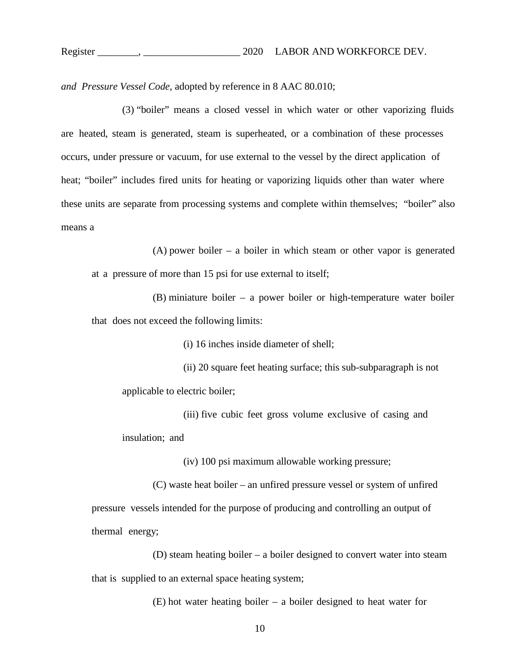*and Pressure Vessel Code,* adopted by reference in 8 AAC 80.010;

(3) "boiler" means a closed vessel in which water or other vaporizing fluids are heated, steam is generated, steam is superheated, or a combination of these processes occurs, under pressure or vacuum, for use external to the vessel by the direct application of heat; "boiler" includes fired units for heating or vaporizing liquids other than water where these units are separate from processing systems and complete within themselves; "boiler" also means a

(A) power boiler – a boiler in which steam or other vapor is generated at a pressure of more than 15 psi for use external to itself;

(B) miniature boiler – a power boiler or high-temperature water boiler that does not exceed the following limits:

(i) 16 inches inside diameter of shell;

(ii) 20 square feet heating surface; this sub-subparagraph is not applicable to electric boiler;

(iii) five cubic feet gross volume exclusive of casing and insulation; and

(iv) 100 psi maximum allowable working pressure;

(C) waste heat boiler – an unfired pressure vessel or system of unfired pressure vessels intended for the purpose of producing and controlling an output of thermal energy;

(D) steam heating boiler – a boiler designed to convert water into steam that is supplied to an external space heating system;

(E) hot water heating boiler – a boiler designed to heat water for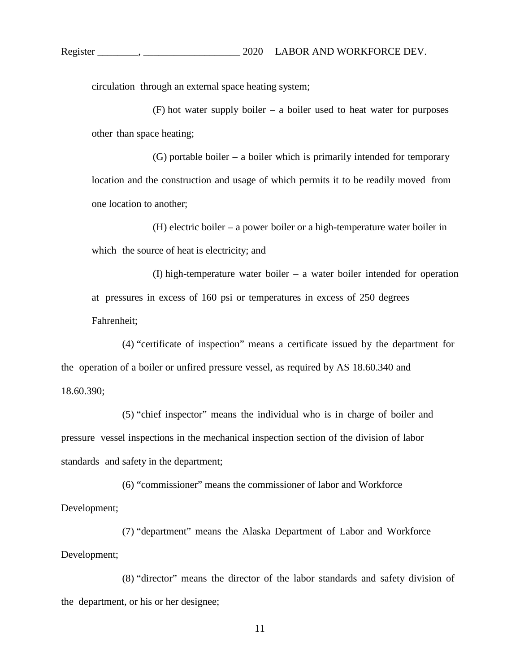circulation through an external space heating system;

(F) hot water supply boiler – a boiler used to heat water for purposes other than space heating;

(G) portable boiler – a boiler which is primarily intended for temporary location and the construction and usage of which permits it to be readily moved from one location to another;

(H) electric boiler – a power boiler or a high-temperature water boiler in which the source of heat is electricity; and

(I) high-temperature water boiler – a water boiler intended for operation at pressures in excess of 160 psi or temperatures in excess of 250 degrees Fahrenheit;

(4) "certificate of inspection" means a certificate issued by the department for the operation of a boiler or unfired pressure vessel, as required by AS 18.60.340 and 18.60.390;

(5) "chief inspector" means the individual who is in charge of boiler and pressure vessel inspections in the mechanical inspection section of the division of labor standards and safety in the department;

(6) "commissioner" means the commissioner of labor and Workforce Development;

(7) "department" means the Alaska Department of Labor and Workforce Development;

(8) "director" means the director of the labor standards and safety division of the department, or his or her designee;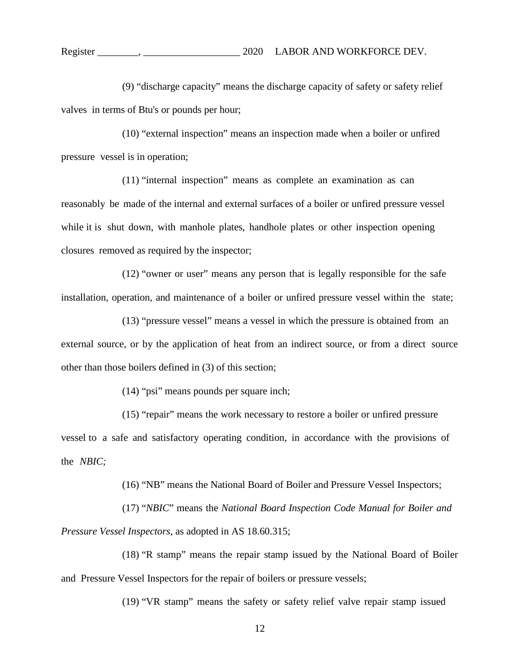(9) "discharge capacity" means the discharge capacity of safety or safety relief valves in terms of Btu's or pounds per hour;

(10) "external inspection" means an inspection made when a boiler or unfired pressure vessel is in operation;

(11) "internal inspection" means as complete an examination as can reasonably be made of the internal and external surfaces of a boiler or unfired pressure vessel while it is shut down, with manhole plates, handhole plates or other inspection opening closures removed as required by the inspector;

(12) "owner or user" means any person that is legally responsible for the safe installation, operation, and maintenance of a boiler or unfired pressure vessel within the state;

(13) "pressure vessel" means a vessel in which the pressure is obtained from an external source, or by the application of heat from an indirect source, or from a direct source other than those boilers defined in (3) of this section;

(14) "psi" means pounds per square inch;

(15) "repair" means the work necessary to restore a boiler or unfired pressure vessel to a safe and satisfactory operating condition, in accordance with the provisions of the *NBIC;*

(16) "NB" means the National Board of Boiler and Pressure Vessel Inspectors;

(17) "*NBIC*" means the *National Board Inspection Code Manual for Boiler and Pressure Vessel Inspectors,* as adopted in AS 18.60.315;

(18) "R stamp" means the repair stamp issued by the National Board of Boiler and Pressure Vessel Inspectors for the repair of boilers or pressure vessels;

(19) "VR stamp" means the safety or safety relief valve repair stamp issued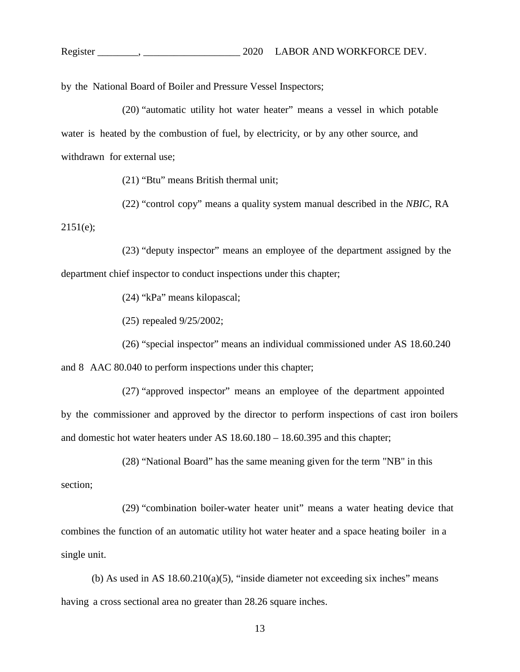by the National Board of Boiler and Pressure Vessel Inspectors;

(20) "automatic utility hot water heater" means a vessel in which potable water is heated by the combustion of fuel, by electricity, or by any other source, and withdrawn for external use;

(21) "Btu" means British thermal unit;

(22) "control copy" means a quality system manual described in the *NBIC,* RA

2151(e);

(23) "deputy inspector" means an employee of the department assigned by the department chief inspector to conduct inspections under this chapter;

(24) "kPa" means kilopascal;

(25) repealed 9/25/2002;

(26) "special inspector" means an individual commissioned under AS 18.60.240 and 8 AAC 80.040 to perform inspections under this chapter;

(27) "approved inspector" means an employee of the department appointed by the commissioner and approved by the director to perform inspections of cast iron boilers and domestic hot water heaters under AS 18.60.180 – 18.60.395 and this chapter;

(28) "National Board" has the same meaning given for the term "NB" in this

section;

(29) "combination boiler-water heater unit" means a water heating device that combines the function of an automatic utility hot water heater and a space heating boiler in a single unit.

(b) As used in AS  $18.60.210(a)(5)$ , "inside diameter not exceeding six inches" means having a cross sectional area no greater than 28.26 square inches.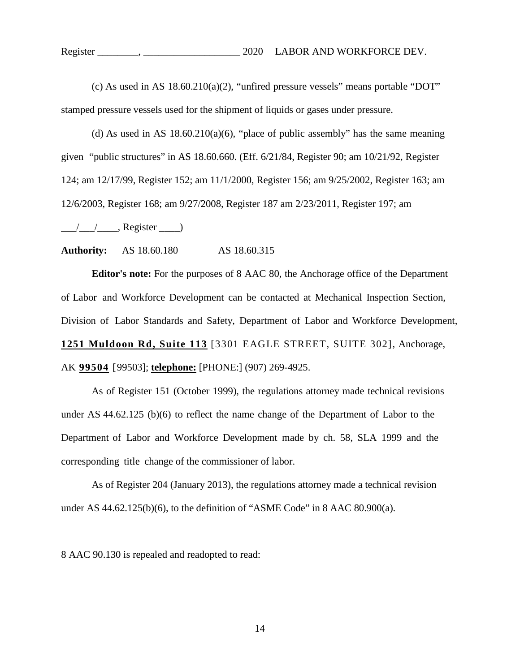(c) As used in AS 18.60.210(a)(2), "unfired pressure vessels" means portable "DOT" stamped pressure vessels used for the shipment of liquids or gases under pressure.

(d) As used in AS  $18.60.210(a)(6)$ , "place of public assembly" has the same meaning given "public structures" in AS 18.60.660. (Eff. 6/21/84, Register 90; am 10/21/92, Register 124; am 12/17/99, Register 152; am 11/1/2000, Register 156; am 9/25/2002, Register 163; am 12/6/2003, Register 168; am 9/27/2008, Register 187 am 2/23/2011, Register 197; am

 $\frac{1}{\sqrt{2\pi}}$ , Register  $\frac{1}{\sqrt{2\pi}}$ 

**Authority:** AS 18.60.180 AS 18.60.315

**Editor's note:** For the purposes of 8 AAC 80, the Anchorage office of the Department of Labor and Workforce Development can be contacted at Mechanical Inspection Section, Division of Labor Standards and Safety, Department of Labor and Workforce Development, **1251 Muldoon Rd, Suite 113** [3301 EAGLE STREET, SUITE 302], Anchorage, AK **99504** [99503]; **telephone:** [PHONE:] (907) 269-4925.

As of Register 151 (October 1999), the regulations attorney made technical revisions under AS 44.62.125 (b)(6) to reflect the name change of the Department of Labor to the Department of Labor and Workforce Development made by ch. 58, SLA 1999 and the corresponding title change of the commissioner of labor.

As of Register 204 (January 2013), the regulations attorney made a technical revision under AS 44.62.125(b)(6), to the definition of "ASME Code" in 8 AAC 80.900(a).

8 AAC 90.130 is repealed and readopted to read: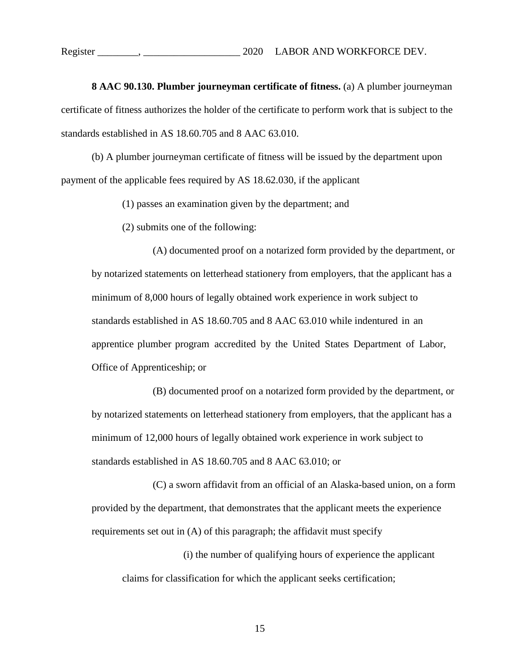**8 AAC 90.130. Plumber journeyman certificate of fitness.** (a) A plumber journeyman certificate of fitness authorizes the holder of the certificate to perform work that is subject to the standards established in AS 18.60.705 and 8 AAC 63.010.

(b) A plumber journeyman certificate of fitness will be issued by the department upon payment of the applicable fees required by AS 18.62.030, if the applicant

(1) passes an examination given by the department; and

(2) submits one of the following:

(A) documented proof on a notarized form provided by the department, or by notarized statements on letterhead stationery from employers, that the applicant has a minimum of 8,000 hours of legally obtained work experience in work subject to standards established in AS 18.60.705 and 8 AAC 63.010 while indentured in an apprentice plumber program accredited by the United States Department of Labor, Office of Apprenticeship; or

(B) documented proof on a notarized form provided by the department, or by notarized statements on letterhead stationery from employers, that the applicant has a minimum of 12,000 hours of legally obtained work experience in work subject to standards established in AS 18.60.705 and 8 AAC 63.010; or

(C) a sworn affidavit from an official of an Alaska-based union, on a form provided by the department, that demonstrates that the applicant meets the experience requirements set out in (A) of this paragraph; the affidavit must specify

(i) the number of qualifying hours of experience the applicant claims for classification for which the applicant seeks certification;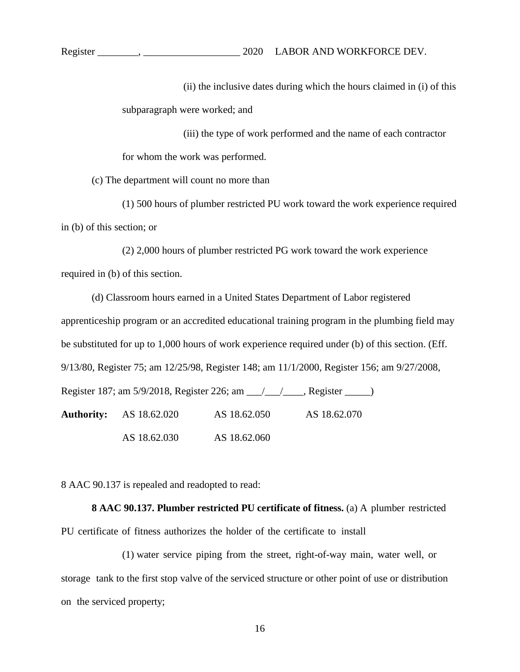Register \_\_\_\_\_\_\_\_, \_\_\_\_\_\_\_\_\_\_\_\_\_\_\_\_\_\_\_ 2020 LABOR AND WORKFORCE DEV.

(ii) the inclusive dates during which the hours claimed in (i) of this subparagraph were worked; and

(iii) the type of work performed and the name of each contractor for whom the work was performed.

(c) The department will count no more than

(1) 500 hours of plumber restricted PU work toward the work experience required in (b) of this section; or

(2) 2,000 hours of plumber restricted PG work toward the work experience required in (b) of this section.

(d) Classroom hours earned in a United States Department of Labor registered apprenticeship program or an accredited educational training program in the plumbing field may be substituted for up to 1,000 hours of work experience required under (b) of this section. (Eff. 9/13/80, Register 75; am 12/25/98, Register 148; am 11/1/2000, Register 156; am 9/27/2008, Register 187; am 5/9/2018, Register 226; am \_\_\_/\_\_\_/\_\_\_\_, Register \_\_\_\_\_) **Authority:** AS 18.62.020 AS 18.62.050 AS 18.62.070 AS 18.62.030 AS 18.62.060

8 AAC 90.137 is repealed and readopted to read:

**8 AAC 90.137. Plumber restricted PU certificate of fitness.** (a) A plumber restricted PU certificate of fitness authorizes the holder of the certificate to install

(1) water service piping from the street, right-of-way main, water well, or storage tank to the first stop valve of the serviced structure or other point of use or distribution on the serviced property;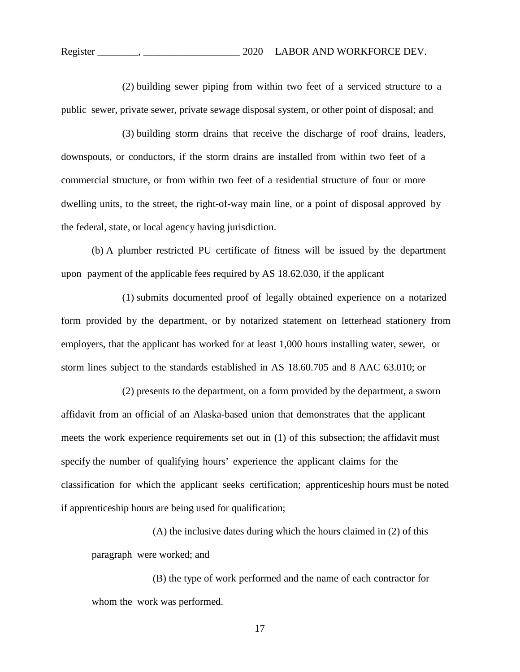(2) building sewer piping from within two feet of a serviced structure to a public sewer, private sewer, private sewage disposal system, or other point of disposal; and

(3) building storm drains that receive the discharge of roof drains, leaders, downspouts, or conductors, if the storm drains are installed from within two feet of a commercial structure, or from within two feet of a residential structure of four or more dwelling units, to the street, the right-of-way main line, or a point of disposal approved by the federal, state, or local agency having jurisdiction.

(b) A plumber restricted PU certificate of fitness will be issued by the department upon payment of the applicable fees required by AS 18.62.030, if the applicant

(1) submits documented proof of legally obtained experience on a notarized form provided by the department, or by notarized statement on letterhead stationery from employers, that the applicant has worked for at least 1,000 hours installing water, sewer, or storm lines subject to the standards established in AS 18.60.705 and 8 AAC 63.010; or

(2) presents to the department, on a form provided by the department, a sworn affidavit from an official of an Alaska-based union that demonstrates that the applicant meets the work experience requirements set out in (1) of this subsection; the affidavit must specify the number of qualifying hours' experience the applicant claims for the classification for which the applicant seeks certification; apprenticeship hours must be noted if apprenticeship hours are being used for qualification;

(A) the inclusive dates during which the hours claimed in (2) of this paragraph were worked; and

(B) the type of work performed and the name of each contractor for whom the work was performed.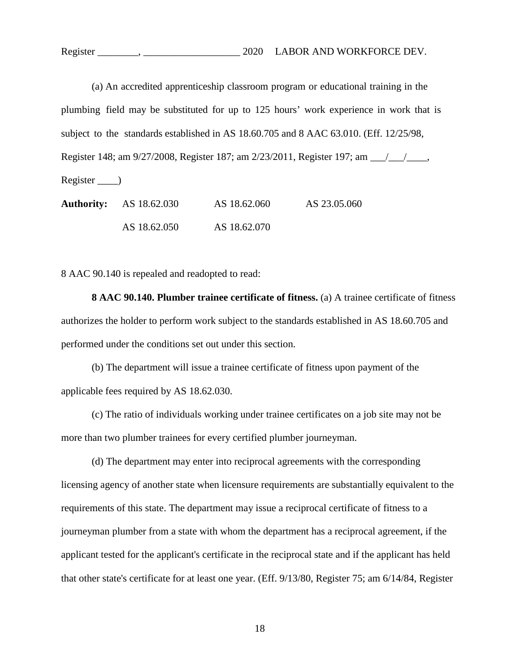|                                                                                        |              |              | (a) An accredited apprenticeship classroom program or educational training in the |
|----------------------------------------------------------------------------------------|--------------|--------------|-----------------------------------------------------------------------------------|
| plumbing field may be substituted for up to 125 hours' work experience in work that is |              |              |                                                                                   |
| subject to the standards established in AS 18.60.705 and 8 AAC 63.010. (Eff. 12/25/98, |              |              |                                                                                   |
| Register 148; am 9/27/2008, Register 187; am 2/23/2011, Register 197; am 1/1/1.        |              |              |                                                                                   |
| $Register$ <sub>___</sub> )                                                            |              |              |                                                                                   |
| <b>Authority:</b>                                                                      | AS 18.62.030 | AS 18.62.060 | AS 23.05.060                                                                      |

AS 18.62.050 AS 18.62.070

8 AAC 90.140 is repealed and readopted to read:

**8 AAC 90.140. Plumber trainee certificate of fitness.** (a) A trainee certificate of fitness authorizes the holder to perform work subject to the standards established in AS 18.60.705 and performed under the conditions set out under this section.

(b) The department will issue a trainee certificate of fitness upon payment of the applicable fees required by AS 18.62.030.

(c) The ratio of individuals working under trainee certificates on a job site may not be more than two plumber trainees for every certified plumber journeyman.

(d) The department may enter into reciprocal agreements with the corresponding licensing agency of another state when licensure requirements are substantially equivalent to the requirements of this state. The department may issue a reciprocal certificate of fitness to a journeyman plumber from a state with whom the department has a reciprocal agreement, if the applicant tested for the applicant's certificate in the reciprocal state and if the applicant has held that other state's certificate for at least one year. (Eff. 9/13/80, Register 75; am 6/14/84, Register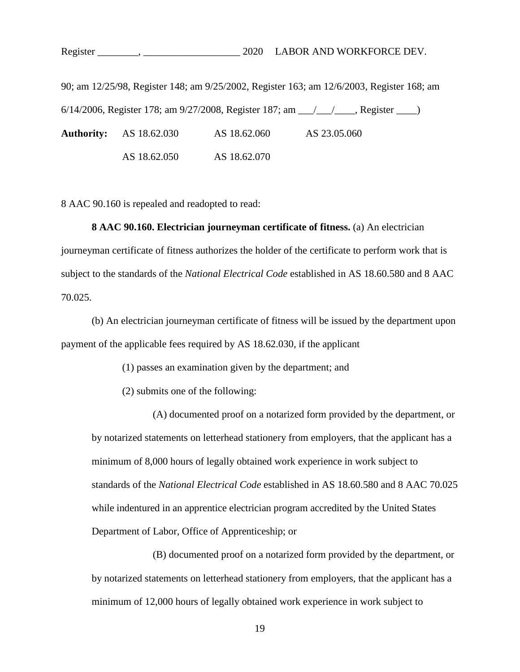90; am 12/25/98, Register 148; am 9/25/2002, Register 163; am 12/6/2003, Register 168; am 6/14/2006, Register 178; am 9/27/2008, Register 187; am \_\_\_/\_\_\_/\_\_\_\_, Register \_\_\_\_)

**Authority:** AS 18.62.030 AS 18.62.060 AS 23.05.060

AS 18.62.050 AS 18.62.070

8 AAC 90.160 is repealed and readopted to read:

# **8 AAC 90.160. Electrician journeyman certificate of fitness.** (a) An electrician

journeyman certificate of fitness authorizes the holder of the certificate to perform work that is subject to the standards of the *National Electrical Code* established in AS 18.60.580 and 8 AAC 70.025.

(b) An electrician journeyman certificate of fitness will be issued by the department upon payment of the applicable fees required by AS 18.62.030, if the applicant

(1) passes an examination given by the department; and

(2) submits one of the following:

(A) documented proof on a notarized form provided by the department, or by notarized statements on letterhead stationery from employers, that the applicant has a minimum of 8,000 hours of legally obtained work experience in work subject to standards of the *National Electrical Code* established in AS 18.60.580 and 8 AAC 70.025 while indentured in an apprentice electrician program accredited by the United States Department of Labor, Office of Apprenticeship; or

(B) documented proof on a notarized form provided by the department, or by notarized statements on letterhead stationery from employers, that the applicant has a minimum of 12,000 hours of legally obtained work experience in work subject to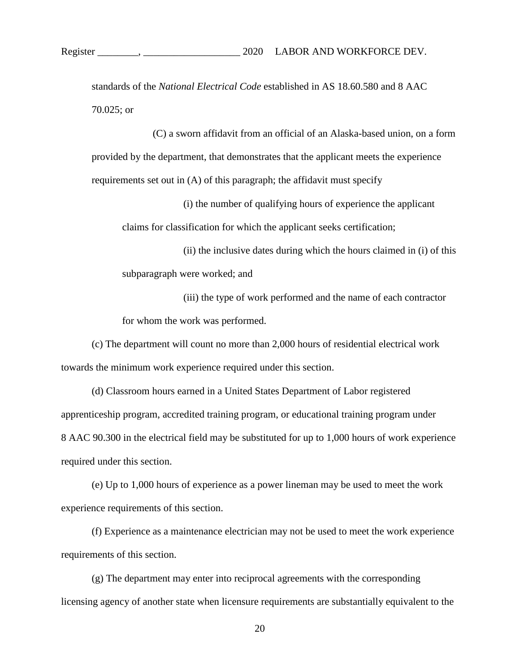standards of the *National Electrical Code* established in AS 18.60.580 and 8 AAC 70.025; or

(C) a sworn affidavit from an official of an Alaska-based union, on a form provided by the department, that demonstrates that the applicant meets the experience requirements set out in (A) of this paragraph; the affidavit must specify

(i) the number of qualifying hours of experience the applicant claims for classification for which the applicant seeks certification;

(ii) the inclusive dates during which the hours claimed in (i) of this subparagraph were worked; and

(iii) the type of work performed and the name of each contractor for whom the work was performed.

(c) The department will count no more than 2,000 hours of residential electrical work towards the minimum work experience required under this section.

(d) Classroom hours earned in a United States Department of Labor registered apprenticeship program, accredited training program, or educational training program under 8 AAC 90.300 in the electrical field may be substituted for up to 1,000 hours of work experience required under this section.

(e) Up to 1,000 hours of experience as a power lineman may be used to meet the work experience requirements of this section.

(f) Experience as a maintenance electrician may not be used to meet the work experience requirements of this section.

(g) The department may enter into reciprocal agreements with the corresponding licensing agency of another state when licensure requirements are substantially equivalent to the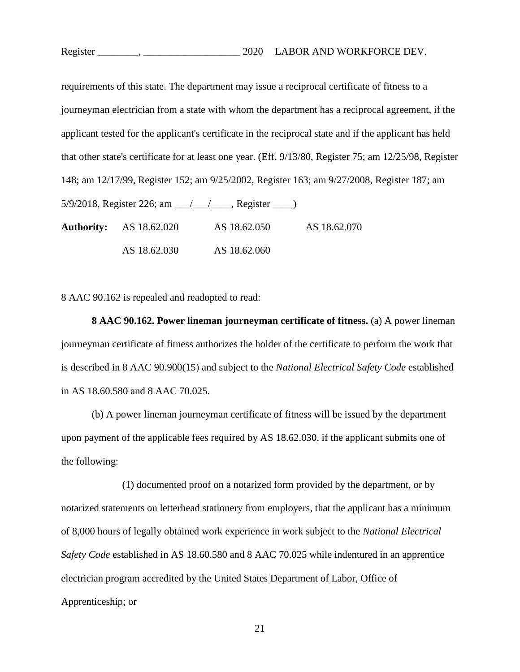requirements of this state. The department may issue a reciprocal certificate of fitness to a journeyman electrician from a state with whom the department has a reciprocal agreement, if the applicant tested for the applicant's certificate in the reciprocal state and if the applicant has held that other state's certificate for at least one year. (Eff. 9/13/80, Register 75; am 12/25/98, Register 148; am 12/17/99, Register 152; am 9/25/2002, Register 163; am 9/27/2008, Register 187; am  $5/9/2018$ , Register 226; am  $\frac{1}{2}$ , Register  $\frac{1}{2}$ **Authority:** AS 18.62.020 AS 18.62.050 AS 18.62.070 AS 18.62.030 AS 18.62.060

8 AAC 90.162 is repealed and readopted to read:

**8 AAC 90.162. Power lineman journeyman certificate of fitness.** (a) A power lineman journeyman certificate of fitness authorizes the holder of the certificate to perform the work that is described in 8 AAC 90.900(15) and subject to the *National Electrical Safety Code* established in AS 18.60.580 and 8 AAC 70.025.

(b) A power lineman journeyman certificate of fitness will be issued by the department upon payment of the applicable fees required by AS 18.62.030, if the applicant submits one of the following:

(1) documented proof on a notarized form provided by the department, or by notarized statements on letterhead stationery from employers, that the applicant has a minimum of 8,000 hours of legally obtained work experience in work subject to the *National Electrical Safety Code* established in AS 18.60.580 and 8 AAC 70.025 while indentured in an apprentice electrician program accredited by the United States Department of Labor, Office of Apprenticeship; or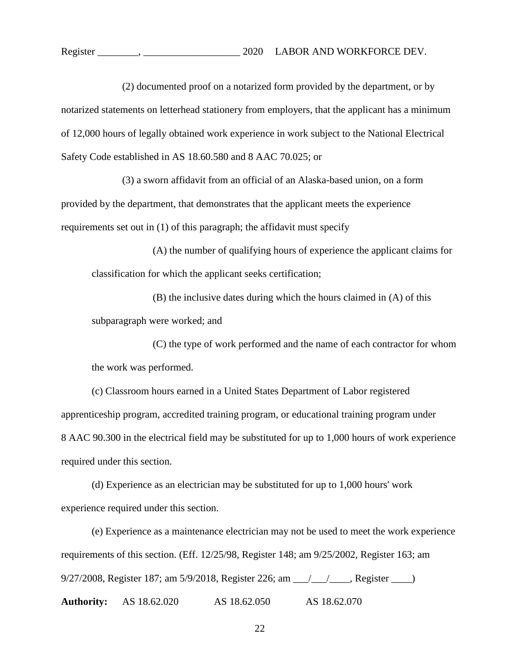(2) documented proof on a notarized form provided by the department, or by notarized statements on letterhead stationery from employers, that the applicant has a minimum of 12,000 hours of legally obtained work experience in work subject to the National Electrical Safety Code established in AS 18.60.580 and 8 AAC 70.025; or

(3) a sworn affidavit from an official of an Alaska-based union, on a form provided by the department, that demonstrates that the applicant meets the experience requirements set out in (1) of this paragraph; the affidavit must specify

(A) the number of qualifying hours of experience the applicant claims for classification for which the applicant seeks certification;

(B) the inclusive dates during which the hours claimed in (A) of this subparagraph were worked; and

(C) the type of work performed and the name of each contractor for whom the work was performed.

(c) Classroom hours earned in a United States Department of Labor registered apprenticeship program, accredited training program, or educational training program under 8 AAC 90.300 in the electrical field may be substituted for up to 1,000 hours of work experience required under this section.

(d) Experience as an electrician may be substituted for up to 1,000 hours' work experience required under this section.

(e) Experience as a maintenance electrician may not be used to meet the work experience requirements of this section. (Eff. 12/25/98, Register 148; am 9/25/2002, Register 163; am 9/27/2008, Register 187; am 5/9/2018, Register 226; am \_\_\_/\_\_\_/\_\_\_\_, Register \_\_\_\_) **Authority:** AS 18.62.020 AS 18.62.050 AS 18.62.070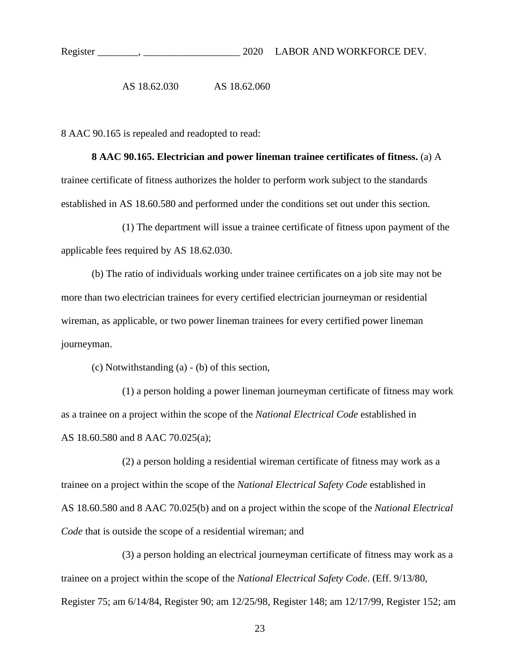AS 18.62.030 AS 18.62.060

8 AAC 90.165 is repealed and readopted to read:

**8 AAC 90.165. Electrician and power lineman trainee certificates of fitness.** (a) A trainee certificate of fitness authorizes the holder to perform work subject to the standards established in AS 18.60.580 and performed under the conditions set out under this section.

(1) The department will issue a trainee certificate of fitness upon payment of the applicable fees required by AS 18.62.030.

(b) The ratio of individuals working under trainee certificates on a job site may not be more than two electrician trainees for every certified electrician journeyman or residential wireman, as applicable, or two power lineman trainees for every certified power lineman journeyman.

(c) Notwithstanding (a) - (b) of this section,

(1) a person holding a power lineman journeyman certificate of fitness may work as a trainee on a project within the scope of the *National Electrical Code* established in AS 18.60.580 and 8 AAC 70.025(a);

(2) a person holding a residential wireman certificate of fitness may work as a trainee on a project within the scope of the *National Electrical Safety Code* established in AS 18.60.580 and 8 AAC 70.025(b) and on a project within the scope of the *National Electrical Code* that is outside the scope of a residential wireman; and

(3) a person holding an electrical journeyman certificate of fitness may work as a trainee on a project within the scope of the *National Electrical Safety Code*. (Eff. 9/13/80, Register 75; am 6/14/84, Register 90; am 12/25/98, Register 148; am 12/17/99, Register 152; am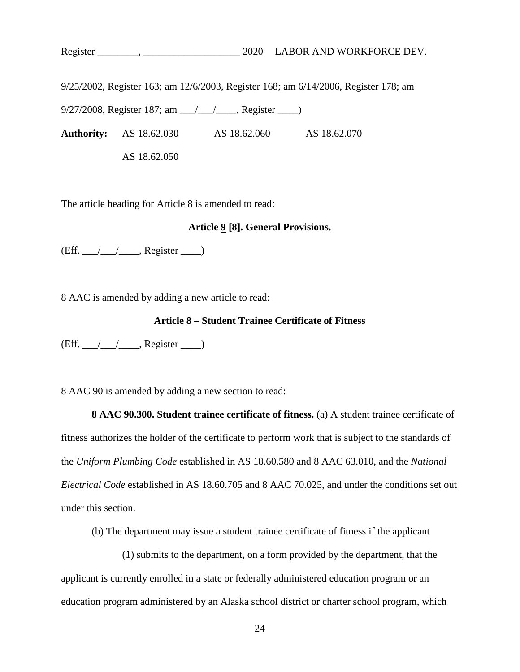Register \_\_\_\_\_\_\_\_, \_\_\_\_\_\_\_\_\_\_\_\_\_\_\_\_\_\_\_ 2020 LABOR AND WORKFORCE DEV.

9/25/2002, Register 163; am 12/6/2003, Register 168; am 6/14/2006, Register 178; am

9/27/2008, Register 187; am \_\_\_/\_\_\_/\_\_\_\_, Register \_\_\_\_)

**Authority:** AS 18.62.030 AS 18.62.060 AS 18.62.070

AS 18.62.050

The article heading for Article 8 is amended to read:

# **Article 9 [8]. General Provisions.**

 $(Eff. \_ / \_ / \_$ , Register  $\_ )$ 

8 AAC is amended by adding a new article to read:

# **Article 8 – Student Trainee Certificate of Fitness**

 $(Eff. \_ / \_ / \_$ , Register  $\_ )$ 

8 AAC 90 is amended by adding a new section to read:

**8 AAC 90.300. Student trainee certificate of fitness.** (a) A student trainee certificate of fitness authorizes the holder of the certificate to perform work that is subject to the standards of the *Uniform Plumbing Code* established in AS 18.60.580 and 8 AAC 63.010, and the *National Electrical Code* established in AS 18.60.705 and 8 AAC 70.025, and under the conditions set out under this section.

(b) The department may issue a student trainee certificate of fitness if the applicant

(1) submits to the department, on a form provided by the department, that the applicant is currently enrolled in a state or federally administered education program or an education program administered by an Alaska school district or charter school program, which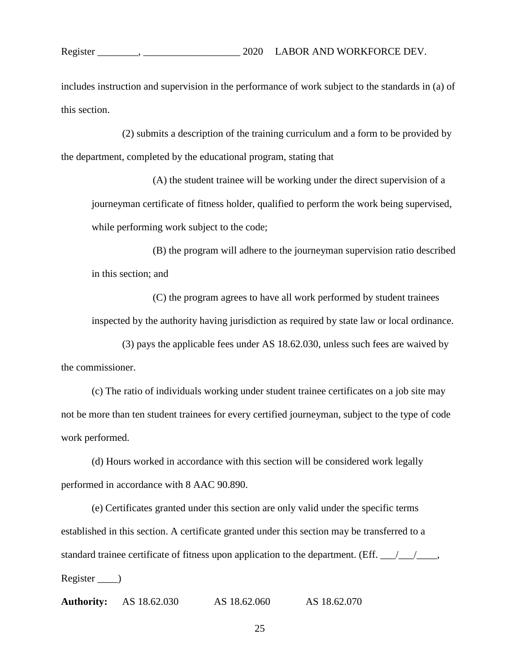includes instruction and supervision in the performance of work subject to the standards in (a) of this section.

(2) submits a description of the training curriculum and a form to be provided by the department, completed by the educational program, stating that

(A) the student trainee will be working under the direct supervision of a journeyman certificate of fitness holder, qualified to perform the work being supervised, while performing work subject to the code;

(B) the program will adhere to the journeyman supervision ratio described in this section; and

(C) the program agrees to have all work performed by student trainees inspected by the authority having jurisdiction as required by state law or local ordinance.

(3) pays the applicable fees under AS 18.62.030, unless such fees are waived by the commissioner.

(c) The ratio of individuals working under student trainee certificates on a job site may not be more than ten student trainees for every certified journeyman, subject to the type of code work performed.

(d) Hours worked in accordance with this section will be considered work legally performed in accordance with 8 AAC 90.890.

(e) Certificates granted under this section are only valid under the specific terms established in this section. A certificate granted under this section may be transferred to a standard trainee certificate of fitness upon application to the department. (Eff.  $\frac{\ }{\ }$ Register \_\_\_\_)

**Authority:** AS 18.62.030 AS 18.62.060 AS 18.62.070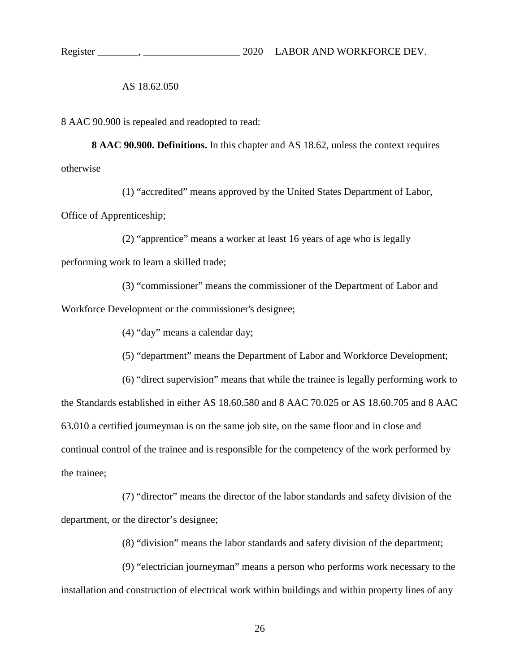AS 18.62.050

8 AAC 90.900 is repealed and readopted to read:

**8 AAC 90.900. Definitions.** In this chapter and AS 18.62, unless the context requires otherwise

(1) "accredited" means approved by the United States Department of Labor, Office of Apprenticeship;

(2) "apprentice" means a worker at least 16 years of age who is legally performing work to learn a skilled trade;

(3) "commissioner" means the commissioner of the Department of Labor and Workforce Development or the commissioner's designee;

(4) "day" means a calendar day;

(5) "department" means the Department of Labor and Workforce Development;

(6) "direct supervision" means that while the trainee is legally performing work to the Standards established in either AS 18.60.580 and 8 AAC 70.025 or AS 18.60.705 and 8 AAC 63.010 a certified journeyman is on the same job site, on the same floor and in close and continual control of the trainee and is responsible for the competency of the work performed by the trainee;

(7) "director" means the director of the labor standards and safety division of the department, or the director's designee;

(8) "division" means the labor standards and safety division of the department;

(9) "electrician journeyman" means a person who performs work necessary to the installation and construction of electrical work within buildings and within property lines of any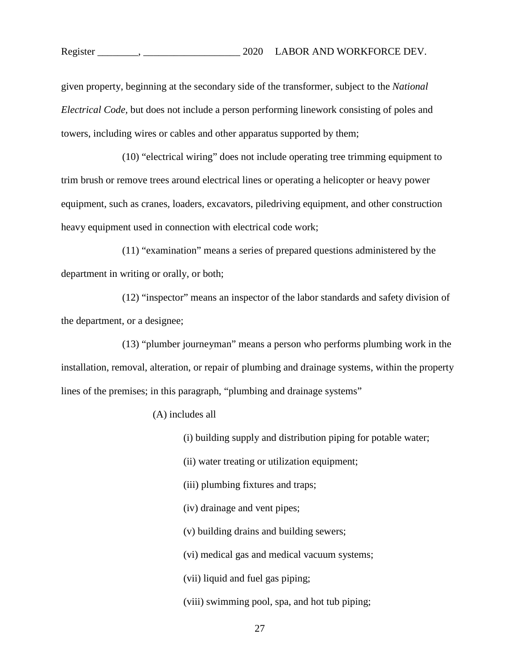given property, beginning at the secondary side of the transformer, subject to the *National Electrical Code,* but does not include a person performing linework consisting of poles and towers, including wires or cables and other apparatus supported by them;

(10) "electrical wiring" does not include operating tree trimming equipment to trim brush or remove trees around electrical lines or operating a helicopter or heavy power equipment, such as cranes, loaders, excavators, piledriving equipment, and other construction heavy equipment used in connection with electrical code work;

(11) "examination" means a series of prepared questions administered by the department in writing or orally, or both;

(12) "inspector" means an inspector of the labor standards and safety division of the department, or a designee;

(13) "plumber journeyman" means a person who performs plumbing work in the installation, removal, alteration, or repair of plumbing and drainage systems, within the property lines of the premises; in this paragraph, "plumbing and drainage systems"

(A) includes all

(i) building supply and distribution piping for potable water;

(ii) water treating or utilization equipment;

(iii) plumbing fixtures and traps;

(iv) drainage and vent pipes;

(v) building drains and building sewers;

(vi) medical gas and medical vacuum systems;

(vii) liquid and fuel gas piping;

(viii) swimming pool, spa, and hot tub piping;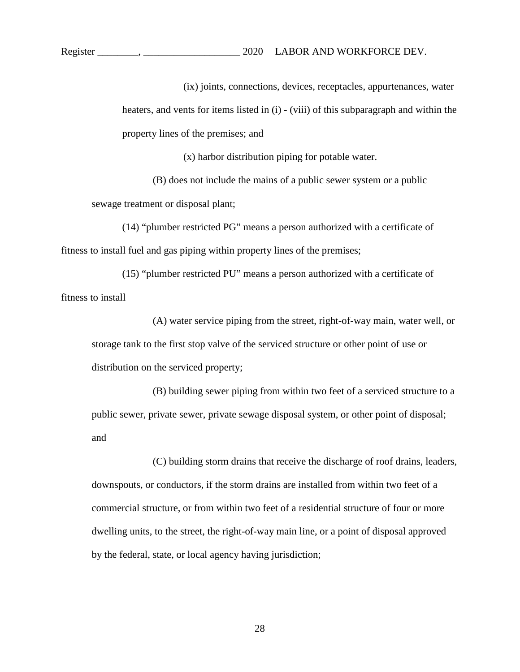Register \_\_\_\_\_\_\_\_, \_\_\_\_\_\_\_\_\_\_\_\_\_\_\_\_\_\_\_ 2020 LABOR AND WORKFORCE DEV.

(ix) joints, connections, devices, receptacles, appurtenances, water heaters, and vents for items listed in (i) - (viii) of this subparagraph and within the property lines of the premises; and

(x) harbor distribution piping for potable water.

(B) does not include the mains of a public sewer system or a public sewage treatment or disposal plant;

(14) "plumber restricted PG" means a person authorized with a certificate of fitness to install fuel and gas piping within property lines of the premises;

(15) "plumber restricted PU" means a person authorized with a certificate of fitness to install

(A) water service piping from the street, right-of-way main, water well, or storage tank to the first stop valve of the serviced structure or other point of use or distribution on the serviced property;

(B) building sewer piping from within two feet of a serviced structure to a public sewer, private sewer, private sewage disposal system, or other point of disposal; and

(C) building storm drains that receive the discharge of roof drains, leaders, downspouts, or conductors, if the storm drains are installed from within two feet of a commercial structure, or from within two feet of a residential structure of four or more dwelling units, to the street, the right-of-way main line, or a point of disposal approved by the federal, state, or local agency having jurisdiction;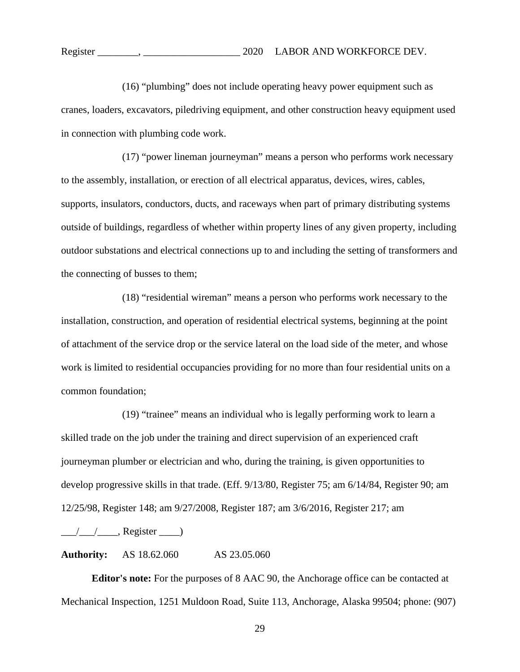(16) "plumbing" does not include operating heavy power equipment such as cranes, loaders, excavators, piledriving equipment, and other construction heavy equipment used in connection with plumbing code work.

(17) "power lineman journeyman" means a person who performs work necessary to the assembly, installation, or erection of all electrical apparatus, devices, wires, cables, supports, insulators, conductors, ducts, and raceways when part of primary distributing systems outside of buildings, regardless of whether within property lines of any given property, including outdoor substations and electrical connections up to and including the setting of transformers and the connecting of busses to them;

(18) "residential wireman" means a person who performs work necessary to the installation, construction, and operation of residential electrical systems, beginning at the point of attachment of the service drop or the service lateral on the load side of the meter, and whose work is limited to residential occupancies providing for no more than four residential units on a common foundation;

(19) "trainee" means an individual who is legally performing work to learn a skilled trade on the job under the training and direct supervision of an experienced craft journeyman plumber or electrician and who, during the training, is given opportunities to develop progressive skills in that trade. (Eff. 9/13/80, Register 75; am 6/14/84, Register 90; am 12/25/98, Register 148; am 9/27/2008, Register 187; am 3/6/2016, Register 217; am

 $\frac{1}{\sqrt{2\pi}}$ , Register  $\frac{1}{\sqrt{2\pi}}$ 

**Authority:** AS 18.62.060 AS 23.05.060

**Editor's note:** For the purposes of 8 AAC 90, the Anchorage office can be contacted at Mechanical Inspection, 1251 Muldoon Road, Suite 113, Anchorage, Alaska 99504; phone: (907)